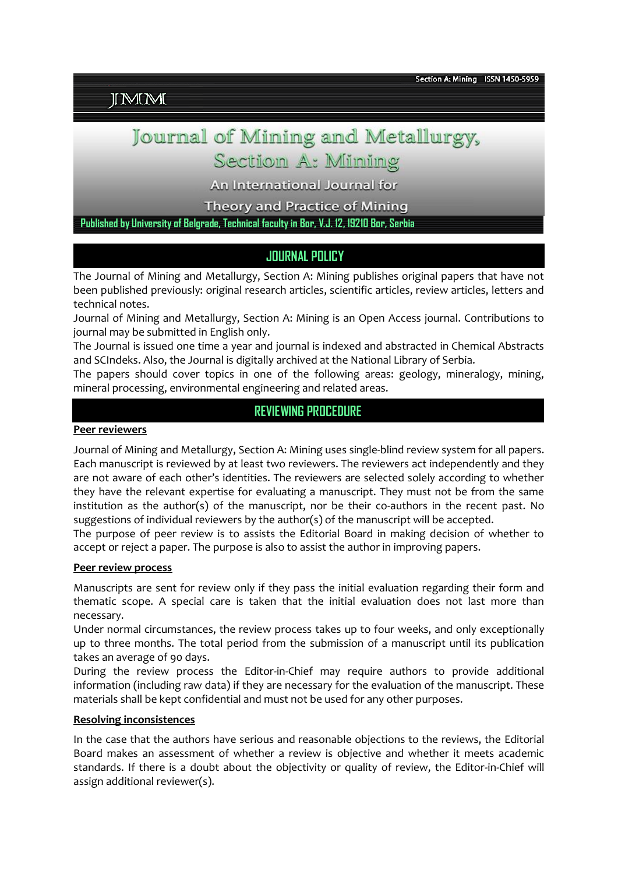# **IMM**

# Journal of Mining and Metallurgy,

# Section A: Minning

An International Journal for

**Theory and Practice of Mining** 

**Published by University of Belgrade, Technical faculty in Bor, V.J. 12, 19210 Bor, Serbia**

# **JOURNAL POLICY**

The Journal of Mining and Metallurgy, Section A: Mining publishes original papers that have not been published previously: original research articles, scientific articles, review articles, letters and technical notes.

Journal of Mining and Metallurgy, Section A: Mining is an Open Access journal. Contributions to journal may be submitted in English only.

The Journal is issued one time a year and journal is indexed and abstracted in Chemical Abstracts and SCIndeks. Also, the Journal is digitally archived at the National Library of Serbia.

The papers should cover topics in one of the following areas: geology, mineralogy, mining, mineral processing, environmental engineering and related areas.

# **REVIEWING PROCEDURE**

#### **Peer reviewers**

Journal of Mining and Metallurgy, Section A: Mining uses single-blind review system for all papers. Each manuscript is reviewed by at least two reviewers. The reviewers act independently and they are not aware of each other's identities. The reviewers are selected solely according to whether they have the relevant expertise for evaluating a manuscript. They must not be from the same institution as the author(s) of the manuscript, nor be their co-authors in the recent past. No suggestions of individual reviewers by the author(s) of the manuscript will be accepted.

The purpose of peer review is to assists the Editorial Board in making decision of whether to accept or reject a paper. The purpose is also to assist the author in improving papers.

#### **Peer review process**

Manuscripts are sent for review only if they pass the initial evaluation regarding their form and thematic scope. A special care is taken that the initial evaluation does not last more than necessary.

Under normal circumstances, the review process takes up to four weeks, and only exceptionally up to three months. The total period from the submission of a manuscript until its publication takes an average of 90 days.

During the review process the Editor-in-Chief may require authors to provide additional information (including raw data) if they are necessary for the evaluation of the manuscript. These materials shall be kept confidential and must not be used for any other purposes.

#### **Resolving inconsistences**

In the case that the authors have serious and reasonable objections to the reviews, the Editorial Board makes an assessment of whether a review is objective and whether it meets academic standards. If there is a doubt about the objectivity or quality of review, the Editor-in-Chief will assign additional reviewer(s).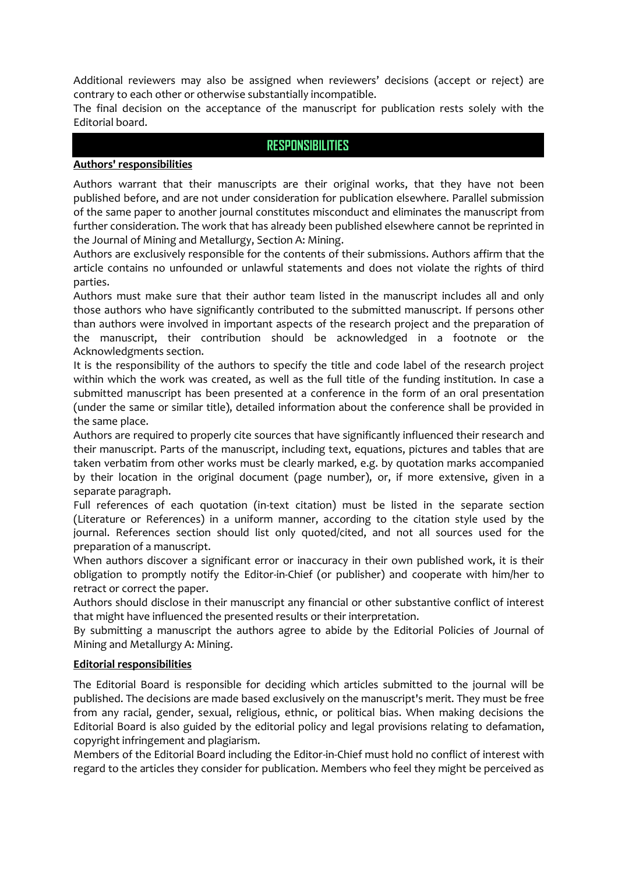Additional reviewers may also be assigned when reviewers' decisions (accept or reject) are contrary to each other or otherwise substantially incompatible.

The final decision on the acceptance of the manuscript for publication rests solely with the Editorial board.

#### **RESPONSIBILITIES**

#### **Authors' responsibilities**

Authors warrant that their manuscripts are their original works, that they have not been published before, and are not under consideration for publication elsewhere. Parallel submission of the same paper to another journal constitutes misconduct and eliminates the manuscript from further consideration. The work that has already been published elsewhere cannot be reprinted in the Journal of Mining and Metallurgy, Section A: Mining.

Authors are exclusively responsible for the contents of their submissions. Authors affirm that the article contains no unfounded or unlawful statements and does not violate the rights of third parties.

Authors must make sure that their author team listed in the manuscript includes all and only those authors who have significantly contributed to the submitted manuscript. If persons other than authors were involved in important aspects of the research project and the preparation of the manuscript, their contribution should be acknowledged in a footnote or the Acknowledgments section.

It is the responsibility of the authors to specify the title and code label of the research project within which the work was created, as well as the full title of the funding institution. In case a submitted manuscript has been presented at a conference in the form of an oral presentation (under the same or similar title), detailed information about the conference shall be provided in the same place.

Authors are required to properly cite sources that have significantly influenced their research and their manuscript. Parts of the manuscript, including text, equations, pictures and tables that are taken verbatim from other works must be clearly marked, e.g. by quotation marks accompanied by their location in the original document (page number), or, if more extensive, given in a separate paragraph.

Full references of each quotation (in-text citation) must be listed in the separate section (Literature or References) in a uniform manner, according to the citation style used by the journal. References section should list only quoted/cited, and not all sources used for the preparation of a manuscript.

When authors discover a significant error or inaccuracy in their own published work, it is their obligation to promptly notify the Editor-in-Chief (or publisher) and cooperate with him/her to retract or correct the paper.

Authors should disclose in their manuscript any financial or other substantive conflict of interest that might have influenced the presented results or their interpretation.

By submitting a manuscript the authors agree to abide by the Editorial Policies of Journal of Mining and Metallurgy A: Mining.

#### **Editorial responsibilities**

The Editorial Board is responsible for deciding which articles submitted to the journal will be published. The decisions are made based exclusively on the manuscript's merit. They must be free from any racial, gender, sexual, religious, ethnic, or political bias. When making decisions the Editorial Board is also guided by the editorial policy and legal provisions relating to defamation, copyright infringement and plagiarism.

Members of the Editorial Board including the Editor-in-Chief must hold no conflict of interest with regard to the articles they consider for publication. Members who feel they might be perceived as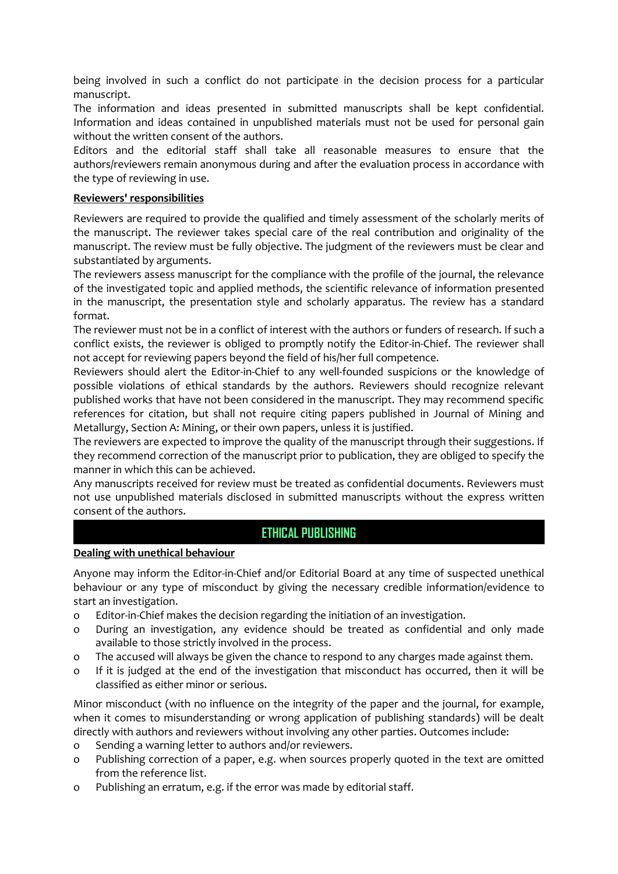being involved in such a conflict do not participate in the decision process for a particular manuscript.

The information and ideas presented in submitted manuscripts shall be kept confidential. Information and ideas contained in unpublished materials must not be used for personal gain without the written consent of the authors.

Editors and the editorial staff shall take all reasonable measures to ensure that the authors/reviewers remain anonymous during and after the evaluation process in accordance with the type of reviewing in use.

#### **Reviewers' responsibilities**

Reviewers are required to provide the qualified and timely assessment of the scholarly merits of the manuscript. The reviewer takes special care of the real contribution and originality of the manuscript. The review must be fully objective. The judgment of the reviewers must be clear and substantiated by arguments.

The reviewers assess manuscript for the compliance with the profile of the journal, the relevance of the investigated topic and applied methods, the scientific relevance of information presented in the manuscript, the presentation style and scholarly apparatus. The review has a standard format.

The reviewer must not be in a conflict of interest with the authors or funders of research. If such a conflict exists, the reviewer is obliged to promptly notify the Editor-in-Chief. The reviewer shall not accept for reviewing papers beyond the field of his/her full competence.

Reviewers should alert the Editor-in-Chief to any well-founded suspicions or the knowledge of possible violations of ethical standards by the authors. Reviewers should recognize relevant published works that have not been considered in the manuscript. They may recommend specific references for citation, but shall not require citing papers published in Journal of Mining and Metallurgy, Section A: Mining, or their own papers, unless it is justified.

The reviewers are expected to improve the quality of the manuscript through their suggestions. If they recommend correction of the manuscript prior to publication, they are obliged to specify the manner in which this can be achieved.

Any manuscripts received for review must be treated as confidential documents. Reviewers must not use unpublished materials disclosed in submitted manuscripts without the express written consent of the authors.

# **ETHICAL PUBLISHING**

#### **Dealing with unethical behaviour**

Anyone may inform the Editor-in-Chief and/or Editorial Board at any time of suspected unethical behaviour or any type of misconduct by giving the necessary credible information/evidence to start an investigation.

- o Editor-in-Chief makes the decision regarding the initiation of an investigation.
- o During an investigation, any evidence should be treated as confidential and only made available to those strictly involved in the process.
- o The accused will always be given the chance to respond to any charges made against them.
- o If it is judged at the end of the investigation that misconduct has occurred, then it will be classified as either minor or serious.

Minor misconduct (with no influence on the integrity of the paper and the journal, for example, when it comes to misunderstanding or wrong application of publishing standards) will be dealt directly with authors and reviewers without involving any other parties. Outcomes include:

- o Sending a warning letter to authors and/or reviewers.
- o Publishing correction of a paper, e.g. when sources properly quoted in the text are omitted from the reference list.
- o Publishing an erratum, e.g. if the error was made by editorial staff.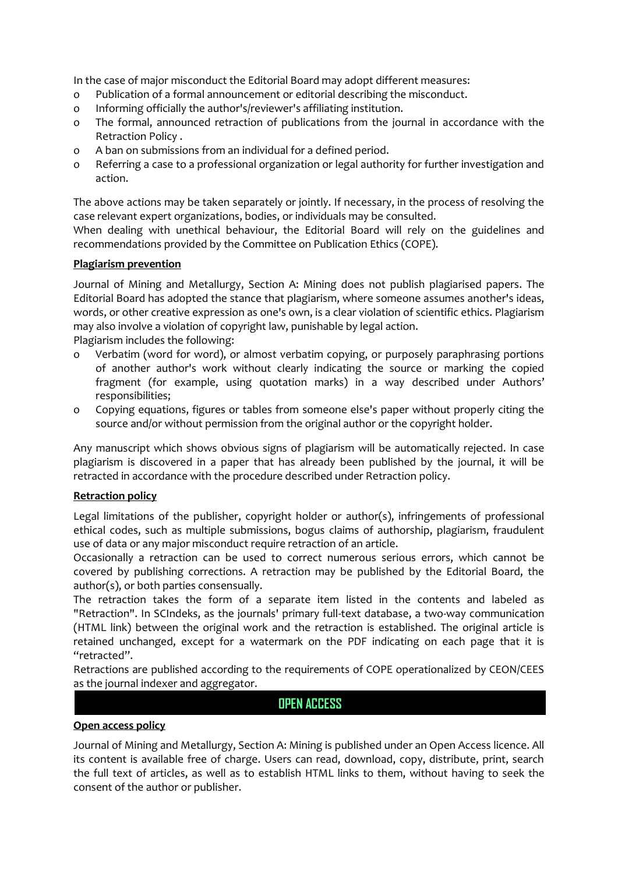In the case of major misconduct the Editorial Board may adopt different measures:

- o Publication of a formal announcement or editorial describing the misconduct.
- o Informing officially the author's/reviewer's affiliating institution.
- o The formal, announced retraction of publications from the journal in accordance with the Retraction Policy .
- o A ban on submissions from an individual for a defined period.
- o Referring a case to a professional organization or legal authority for further investigation and action.

The above actions may be taken separately or jointly. If necessary, in the process of resolving the case relevant expert organizations, bodies, or individuals may be consulted.

When dealing with unethical behaviour, the Editorial Board will rely on the guidelines and recommendations provided by the Committee on Publication Ethics (COPE).

#### **Plagiarism prevention**

Journal of Mining and Metallurgy, Section A: Mining does not publish plagiarised papers. The Editorial Board has adopted the stance that plagiarism, where someone assumes another's ideas, words, or other creative expression as one's own, is a clear violation of scientific ethics. Plagiarism may also involve a violation of copyright law, punishable by legal action.

Plagiarism includes the following:

- o Verbatim (word for word), or almost verbatim copying, or purposely paraphrasing portions of another author's work without clearly indicating the source or marking the copied fragment (for example, using quotation marks) in a way described under Authors' responsibilities;
- o Copying equations, figures or tables from someone else's paper without properly citing the source and/or without permission from the original author or the copyright holder.

Any manuscript which shows obvious signs of plagiarism will be automatically rejected. In case plagiarism is discovered in a paper that has already been published by the journal, it will be retracted in accordance with the procedure described under Retraction policy.

#### **Retraction policy**

Legal limitations of the publisher, copyright holder or author(s), infringements of professional ethical codes, such as multiple submissions, bogus claims of authorship, plagiarism, fraudulent use of data or any major misconduct require retraction of an article.

Occasionally a retraction can be used to correct numerous serious errors, which cannot be covered by publishing corrections. A retraction may be published by the Editorial Board, the author(s), or both parties consensually.

The retraction takes the form of a separate item listed in the contents and labeled as "Retraction". In SCIndeks, as the journals' primary full-text database, a two-way communication (HTML link) between the original work and the retraction is established. The original article is retained unchanged, except for a watermark on the PDF indicating on each page that it is "retracted".

Retractions are published according to the requirements of COPE operationalized by CEON/CEES as the journal indexer and aggregator.

#### **OPEN ACCESS**

#### **Open access policy**

Journal of Mining and Metallurgy, Section A: Mining is published under an Open Access licence. All its content is available free of charge. Users can read, download, copy, distribute, print, search the full text of articles, as well as to establish HTML links to them, without having to seek the consent of the author or publisher.